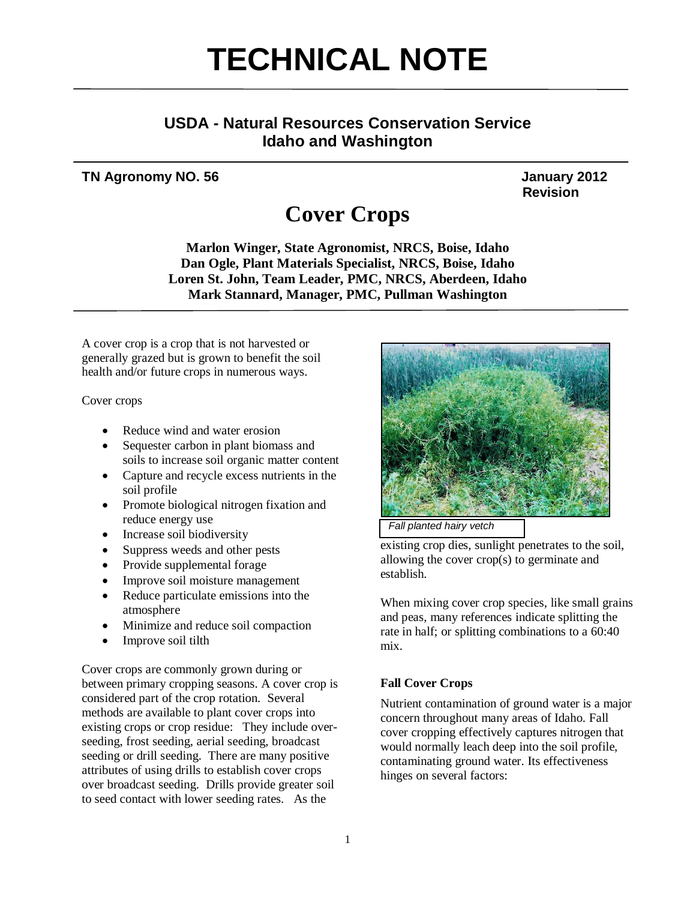# **TECHNICAL NOTE**

# **USDA - Natural Resources Conservation Service Idaho and Washington**

# **TN Agronomy NO. 56** January 2012

**Revision** 

# **Cover Crops**

**Marlon Winger, State Agronomist, NRCS, Boise, Idaho Dan Ogle, Plant Materials Specialist, NRCS, Boise, Idaho Loren St. John, Team Leader, PMC, NRCS, Aberdeen, Idaho Mark Stannard, Manager, PMC, Pullman Washington** 

A cover crop is a crop that is not harvested or generally grazed but is grown to benefit the soil health and/or future crops in numerous ways.

Cover crops

- Reduce wind and water erosion
- Sequester carbon in plant biomass and soils to increase soil organic matter content
- Capture and recycle excess nutrients in the soil profile
- Promote biological nitrogen fixation and reduce energy use
- Increase soil biodiversity
- Suppress weeds and other pests
- Provide supplemental forage
- Improve soil moisture management
- Reduce particulate emissions into the atmosphere
- Minimize and reduce soil compaction
- Improve soil tilth

Cover crops are commonly grown during or between primary cropping seasons. A cover crop is considered part of the crop rotation. Several methods are available to plant cover crops into existing crops or crop residue: They include overseeding, frost seeding, aerial seeding, broadcast seeding or drill seeding. There are many positive attributes of using drills to establish cover crops over broadcast seeding. Drills provide greater soil to seed contact with lower seeding rates. As the





existing crop dies, sunlight penetrates to the soil, allowing the cover crop(s) to germinate and establish.

When mixing cover crop species, like small grains and peas, many references indicate splitting the rate in half; or splitting combinations to a 60:40 mix.

### **Fall Cover Crops**

Nutrient contamination of ground water is a major concern throughout many areas of Idaho. Fall cover cropping effectively captures nitrogen that would normally leach deep into the soil profile, contaminating ground water. Its effectiveness hinges on several factors: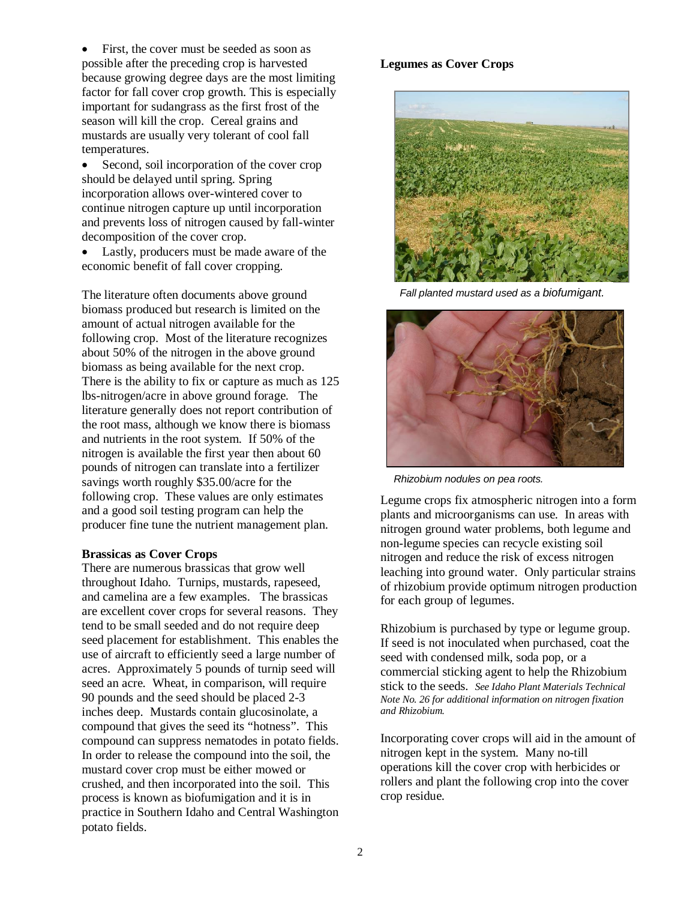First, the cover must be seeded as soon as possible after the preceding crop is harvested because growing degree days are the most limiting factor for fall cover crop growth. This is especially important for sudangrass as the first frost of the season will kill the crop. Cereal grains and mustards are usually very tolerant of cool fall temperatures.

• Second, soil incorporation of the cover crop should be delayed until spring. Spring incorporation allows over-wintered cover to continue nitrogen capture up until incorporation and prevents loss of nitrogen caused by fall-winter decomposition of the cover crop.

 Lastly, producers must be made aware of the economic benefit of fall cover cropping.

The literature often documents above ground biomass produced but research is limited on the amount of actual nitrogen available for the following crop. Most of the literature recognizes about 50% of the nitrogen in the above ground biomass as being available for the next crop. There is the ability to fix or capture as much as 125 lbs-nitrogen/acre in above ground forage. The literature generally does not report contribution of the root mass, although we know there is biomass and nutrients in the root system. If 50% of the nitrogen is available the first year then about 60 pounds of nitrogen can translate into a fertilizer savings worth roughly \$35.00/acre for the following crop. These values are only estimates and a good soil testing program can help the producer fine tune the nutrient management plan.

#### **Brassicas as Cover Crops**

There are numerous brassicas that grow well throughout Idaho. Turnips, mustards, rapeseed, and camelina are a few examples. The brassicas are excellent cover crops for several reasons. They tend to be small seeded and do not require deep seed placement for establishment. This enables the use of aircraft to efficiently seed a large number of acres. Approximately 5 pounds of turnip seed will seed an acre. Wheat, in comparison, will require 90 pounds and the seed should be placed 2-3 inches deep. Mustards contain glucosinolate, a compound that gives the seed its "hotness". This compound can suppress nematodes in potato fields. In order to release the compound into the soil, the mustard cover crop must be either mowed or crushed, and then incorporated into the soil. This process is known as biofumigation and it is in practice in Southern Idaho and Central Washington potato fields.

#### **Legumes as Cover Crops**



*Fall planted mustard used as a biofumigant.* 



*Rhizobium nodules on pea roots.* 

Legume crops fix atmospheric nitrogen into a form plants and microorganisms can use. In areas with nitrogen ground water problems, both legume and non-legume species can recycle existing soil nitrogen and reduce the risk of excess nitrogen leaching into ground water. Only particular strains of rhizobium provide optimum nitrogen production for each group of legumes.

Rhizobium is purchased by type or legume group. If seed is not inoculated when purchased, coat the seed with condensed milk, soda pop, or a commercial sticking agent to help the Rhizobium stick to the seeds. *See Idaho Plant Materials Technical Note No. 26 for additional information on nitrogen fixation and Rhizobium.*

Incorporating cover crops will aid in the amount of nitrogen kept in the system. Many no-till operations kill the cover crop with herbicides or rollers and plant the following crop into the cover crop residue.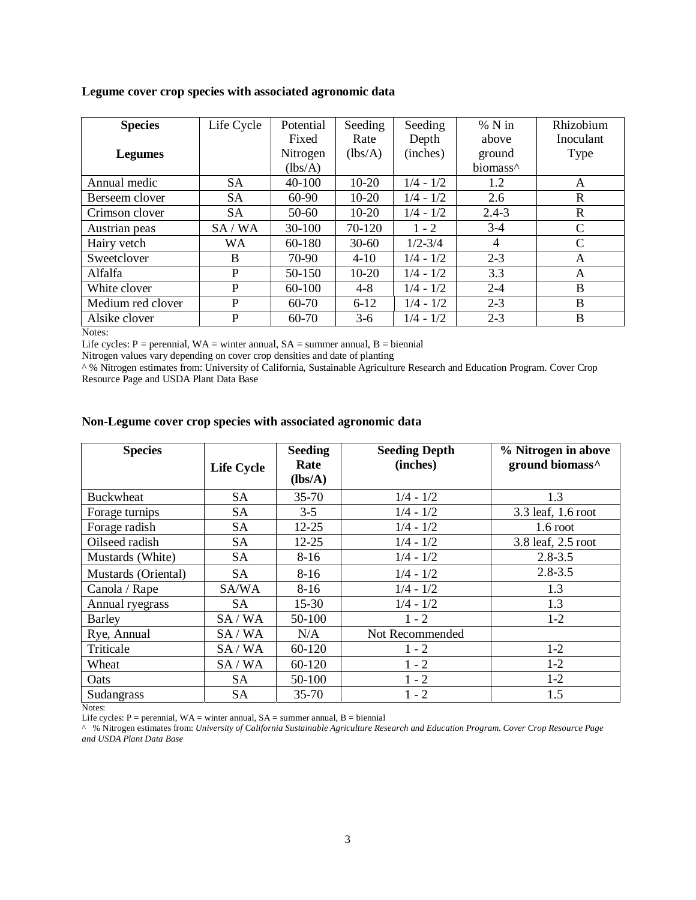|  |  |  | Legume cover crop species with associated agronomic data |  |
|--|--|--|----------------------------------------------------------|--|
|  |  |  |                                                          |  |

| <b>Species</b>    | Life Cycle | Potential  | Seeding   | Seeding     | $%$ N in             | Rhizobium     |
|-------------------|------------|------------|-----------|-------------|----------------------|---------------|
|                   |            | Fixed      | Rate      | Depth       | above                | Inoculant     |
| <b>Legumes</b>    |            | Nitrogen   | (lbs/A)   | (inches)    | ground               | Type          |
|                   |            | (lbs/A)    |           |             | biomass <sup>^</sup> |               |
| Annual medic      | <b>SA</b>  | $40 - 100$ | $10-20$   | $1/4 - 1/2$ | 1.2                  | A             |
| Berseem clover    | <b>SA</b>  | 60-90      | $10 - 20$ | $1/4 - 1/2$ | 2.6                  | $\mathbb{R}$  |
| Crimson clover    | <b>SA</b>  | $50 - 60$  | $10-20$   | $1/4 - 1/2$ | $2.4 - 3$            | $\mathbf R$   |
| Austrian peas     | SA/WA      | 30-100     | 70-120    | $1 - 2$     | $3-4$                | $\mathcal{C}$ |
| Hairy vetch       | <b>WA</b>  | 60-180     | $30 - 60$ | $1/2 - 3/4$ | 4                    | $\mathcal{C}$ |
| Sweetclover       | B          | 70-90      | $4 - 10$  | $1/4 - 1/2$ | $2 - 3$              | A             |
| Alfalfa           | P          | $50-150$   | $10-20$   | $1/4 - 1/2$ | 3.3                  | A             |
| White clover      | P          | 60-100     | $4 - 8$   | $1/4 - 1/2$ | $2 - 4$              | B             |
| Medium red clover | P          | 60-70      | $6 - 12$  | $1/4 - 1/2$ | $2 - 3$              | B             |
| Alsike clover     | P          | 60-70      | $3-6$     | $1/4 - 1/2$ | $2 - 3$              | B             |

Notes:

Life cycles:  $P =$  perennial,  $WA =$  winter annual,  $SA =$  summer annual,  $B =$  biennial

Nitrogen values vary depending on cover crop densities and date of planting

^ % Nitrogen estimates from: University of California, Sustainable Agriculture Research and Education Program. Cover Crop Resource Page and USDA Plant Data Base

#### **Non-Legume cover crop species with associated agronomic data**

| <b>Species</b>      | <b>Life Cycle</b> | <b>Seeding</b><br>Rate<br>(lbs/A) | <b>Seeding Depth</b><br>(inches) | % Nitrogen in above<br>ground biomass^ |
|---------------------|-------------------|-----------------------------------|----------------------------------|----------------------------------------|
| <b>Buckwheat</b>    | SА                | $35 - 70$                         | $1/4 - 1/2$                      | 1.3                                    |
| Forage turnips      | <b>SA</b>         | $3-5$                             | $1/4 - 1/2$                      | 3.3 leaf, 1.6 root                     |
| Forage radish       | <b>SA</b>         | $12 - 25$                         | $1/4 - 1/2$                      | $1.6$ root                             |
| Oilseed radish      | <b>SA</b>         | $12 - 25$                         | $1/4 - 1/2$                      | 3.8 leaf, 2.5 root                     |
| Mustards (White)    | <b>SA</b>         | $8-16$                            | $1/4 - 1/2$                      | $2.8 - 3.5$                            |
| Mustards (Oriental) | <b>SA</b>         | $8-16$                            | $1/4 - 1/2$                      | $2.8 - 3.5$                            |
| Canola / Rape       | SA/WA             | $8-16$                            | $1/4 - 1/2$                      | 1.3                                    |
| Annual ryegrass     | SА                | $15 - 30$                         | $1/4 - 1/2$                      | 1.3                                    |
| Barley              | SA/WA             | 50-100                            | $1 - 2$                          | $1 - 2$                                |
| Rye, Annual         | SA/WA             | N/A                               | Not Recommended                  |                                        |
| Triticale           | SA/WA             | 60-120                            | $1 - 2$                          | $1-2$                                  |
| Wheat               | SA/WA             | 60-120                            | $1 - 2$                          | $1-2$                                  |
| Oats                | SA                | 50-100                            | $1 - 2$                          | $1-2$                                  |
| Sudangrass          | SА                | $35 - 70$                         | $1 - 2$                          | 1.5                                    |

Notes:

Life cycles:  $P =$  perennial,  $WA =$  winter annual,  $SA =$  summer annual,  $B =$  biennial

^ % Nitrogen estimates from: *University of California Sustainable Agriculture Research and Education Program. Cover Crop Resource Page and USDA Plant Data Base*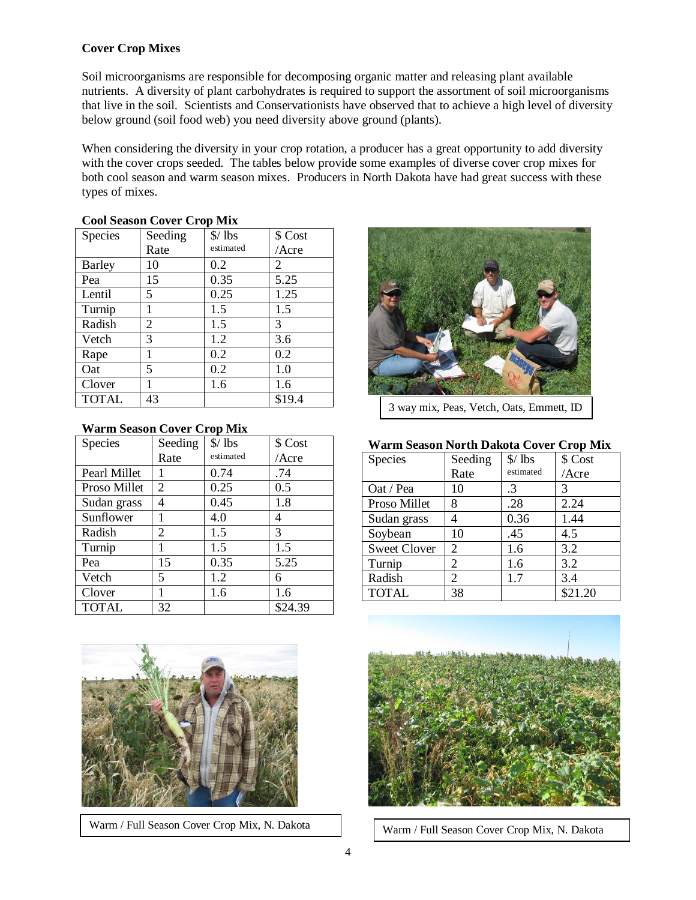## **Cover Crop Mixes**

Soil microorganisms are responsible for decomposing organic matter and releasing plant available nutrients. A diversity of plant carbohydrates is required to support the assortment of soil microorganisms that live in the soil. Scientists and Conservationists have observed that to achieve a high level of diversity below ground (soil food web) you need diversity above ground (plants).

When considering the diversity in your crop rotation, a producer has a great opportunity to add diversity with the cover crops seeded. The tables below provide some examples of diverse cover crop mixes for both cool season and warm season mixes. Producers in North Dakota have had great success with these types of mixes.

| <b>COOL SEASUIL COVEL CLOP IVILY</b> |         |                         |          |  |  |  |
|--------------------------------------|---------|-------------------------|----------|--|--|--|
| Species                              | Seeding | $\frac{\$}{\text{1bs}}$ | \$ Cost  |  |  |  |
|                                      | Rate    | estimated               | $/$ Acre |  |  |  |
| <b>Barley</b>                        | 10      | 0.2                     | 2        |  |  |  |
| Pea                                  | 15      | 0.35                    | 5.25     |  |  |  |
| Lentil                               | 5.      | 0.25                    | 1.25     |  |  |  |
| Turnip                               | 1       | 1.5                     | 1.5      |  |  |  |
| Radish                               | 2       | 1.5                     | 3        |  |  |  |
| Vetch                                | 3       | 1.2                     | 3.6      |  |  |  |
| Rape                                 | 1       | 0.2                     | 0.2      |  |  |  |
| Oat                                  | 5       | 0.2                     | 1.0      |  |  |  |
| Clover                               |         | 1.6                     | 1.6      |  |  |  |
| <b>TOTAL</b>                         | 43      |                         | \$19.4   |  |  |  |

# **Cool Season Cover Crop Mix**

#### **Warm Season Cover Crop Mix**

| Species      | Seeding                     | $\frac{\$}{\text{1bs}}$ | \$ Cost |
|--------------|-----------------------------|-------------------------|---------|
|              | Rate                        | estimated               | /Acre   |
| Pearl Millet |                             | 0.74                    | .74     |
| Proso Millet | $\overline{2}$              | 0.25                    | 0.5     |
| Sudan grass  | 4                           | 0.45                    | 1.8     |
| Sunflower    | 1                           | 4.0                     | 4       |
| Radish       | $\mathcal{D}_{\mathcal{A}}$ | 1.5                     | 3       |
| Turnip       |                             | 1.5                     | 1.5     |
| Pea          | 15                          | 0.35                    | 5.25    |
| Vetch        | 5                           | 1.2                     | 6       |
| Clover       |                             | 1.6                     | 1.6     |
| <b>TOTAL</b> | 32                          |                         | \$24.39 |



3 way mix, Peas, Vetch, Oats, Emmett, ID

#### **Warm Season North Dakota Cover Crop Mix**

| Species             | Seeding | $\frac{\$}{\text{1bs}}$ | \$ Cost |
|---------------------|---------|-------------------------|---------|
|                     | Rate    | estimated               | /Acre   |
| Oat / Pea           | 10      | .3                      | 3       |
| Proso Millet        | 8       | .28                     | 2.24    |
| Sudan grass         | 4       | 0.36                    | 1.44    |
| Soybean             | 10      | .45                     | 4.5     |
| <b>Sweet Clover</b> | 2       | 1.6                     | 3.2     |
| Turnip              | 2       | 1.6                     | 3.2     |
| Radish              | 2       | 1.7                     | 3.4     |
| <b>TOTAL</b>        | 38      |                         | \$21.20 |
|                     |         |                         |         |



Warm / Full Season Cover Crop Mix, N. Dakota



Warm / Full Season Cover Crop Mix, N. Dakota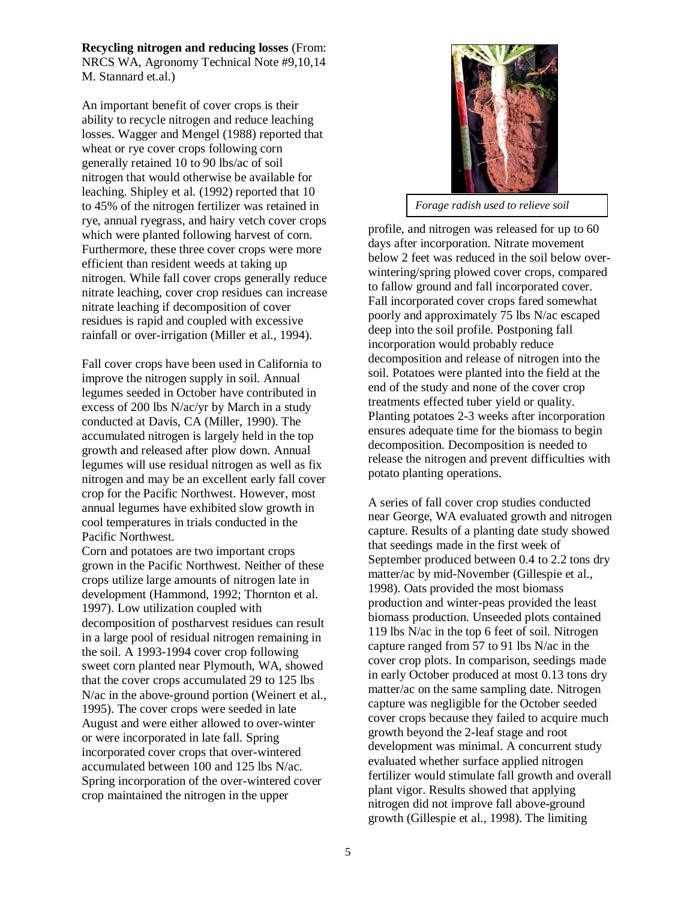**Recycling nitrogen and reducing losses** (From: NRCS WA, Agronomy Technical Note #9,10,14 M. Stannard et.al.)

An important benefit of cover crops is their ability to recycle nitrogen and reduce leaching losses. Wagger and Mengel (1988) reported that wheat or rye cover crops following corn generally retained 10 to 90 lbs/ac of soil nitrogen that would otherwise be available for leaching. Shipley et al. (1992) reported that 10 to 45% of the nitrogen fertilizer was retained in rye, annual ryegrass, and hairy vetch cover crops which were planted following harvest of corn. Furthermore, these three cover crops were more efficient than resident weeds at taking up nitrogen. While fall cover crops generally reduce nitrate leaching, cover crop residues can increase nitrate leaching if decomposition of cover residues is rapid and coupled with excessive rainfall or over-irrigation (Miller et al., 1994).

Fall cover crops have been used in California to improve the nitrogen supply in soil. Annual legumes seeded in October have contributed in excess of 200 lbs N/ac/yr by March in a study conducted at Davis, CA (Miller, 1990). The accumulated nitrogen is largely held in the top growth and released after plow down. Annual legumes will use residual nitrogen as well as fix nitrogen and may be an excellent early fall cover crop for the Pacific Northwest. However, most annual legumes have exhibited slow growth in cool temperatures in trials conducted in the Pacific Northwest.

Corn and potatoes are two important crops grown in the Pacific Northwest. Neither of these crops utilize large amounts of nitrogen late in development (Hammond, 1992; Thornton et al. 1997). Low utilization coupled with decomposition of postharvest residues can result in a large pool of residual nitrogen remaining in the soil. A 1993-1994 cover crop following sweet corn planted near Plymouth, WA, showed that the cover crops accumulated 29 to 125 lbs N/ac in the above-ground portion (Weinert et al., 1995). The cover crops were seeded in late August and were either allowed to over-winter or were incorporated in late fall. Spring incorporated cover crops that over-wintered accumulated between 100 and 125 lbs N/ac. Spring incorporation of the over-wintered cover crop maintained the nitrogen in the upper



*Forage radish used to relieve soil* 

profile, and nitrogen was released for up to 60 days after incorporation. Nitrate movement below 2 feet was reduced in the soil below overwintering/spring plowed cover crops, compared to fallow ground and fall incorporated cover. Fall incorporated cover crops fared somewhat poorly and approximately 75 lbs N/ac escaped deep into the soil profile. Postponing fall incorporation would probably reduce decomposition and release of nitrogen into the soil. Potatoes were planted into the field at the end of the study and none of the cover crop treatments effected tuber yield or quality. Planting potatoes 2-3 weeks after incorporation ensures adequate time for the biomass to begin decomposition. Decomposition is needed to release the nitrogen and prevent difficulties with potato planting operations.

A series of fall cover crop studies conducted near George, WA evaluated growth and nitrogen capture. Results of a planting date study showed that seedings made in the first week of September produced between 0.4 to 2.2 tons dry matter/ac by mid-November (Gillespie et al., 1998). Oats provided the most biomass production and winter-peas provided the least biomass production. Unseeded plots contained 119 lbs N/ac in the top 6 feet of soil. Nitrogen capture ranged from 57 to 91 lbs N/ac in the cover crop plots. In comparison, seedings made in early October produced at most 0.13 tons dry matter/ac on the same sampling date. Nitrogen capture was negligible for the October seeded cover crops because they failed to acquire much growth beyond the 2-leaf stage and root development was minimal. A concurrent study evaluated whether surface applied nitrogen fertilizer would stimulate fall growth and overall plant vigor. Results showed that applying nitrogen did not improve fall above-ground growth (Gillespie et al., 1998). The limiting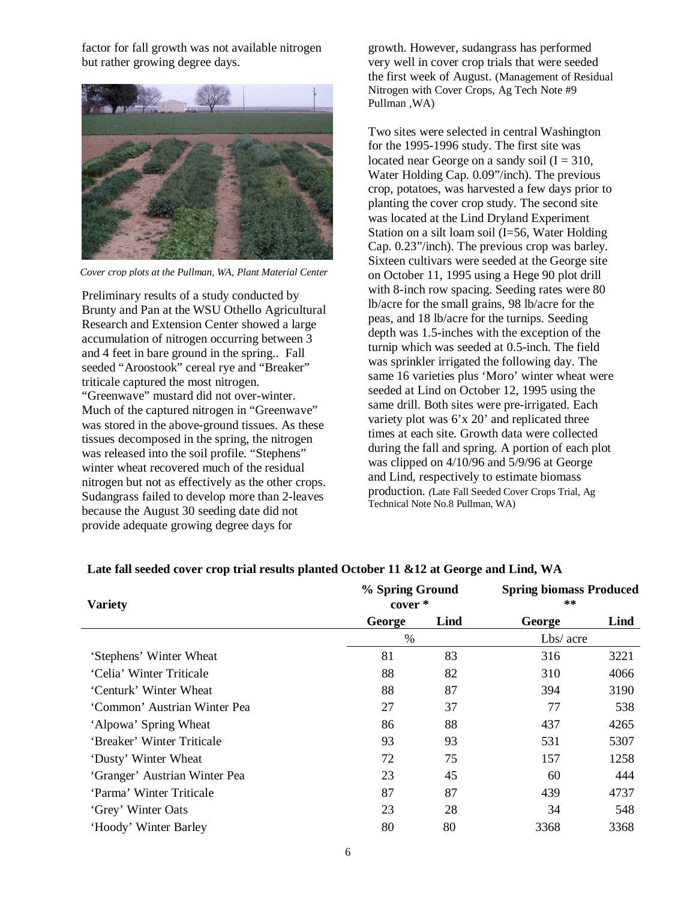factor for fall growth was not available nitrogen but rather growing degree days.



*Cover crop plots at the Pullman, WA, Plant Material Center*

Preliminary results of a study conducted by Brunty and Pan at the WSU Othello Agricultural Research and Extension Center showed a large accumulation of nitrogen occurring between 3 and 4 feet in bare ground in the spring.. Fall seeded "Aroostook" cereal rye and "Breaker" triticale captured the most nitrogen. "Greenwave" mustard did not over-winter. Much of the captured nitrogen in "Greenwave" was stored in the above-ground tissues. As these tissues decomposed in the spring, the nitrogen was released into the soil profile. "Stephens" winter wheat recovered much of the residual nitrogen but not as effectively as the other crops. Sudangrass failed to develop more than 2-leaves because the August 30 seeding date did not provide adequate growing degree days for

growth. However, sudangrass has performed very well in cover crop trials that were seeded the first week of August. (Management of Residual Nitrogen with Cover Crops, Ag Tech Note #9 Pullman ,WA)

Two sites were selected in central Washington for the 1995-1996 study. The first site was located near George on a sandy soil  $(I = 310,$ Water Holding Cap. 0.09"/inch). The previous crop, potatoes, was harvested a few days prior to planting the cover crop study. The second site was located at the Lind Dryland Experiment Station on a silt loam soil (I=56, Water Holding Cap. 0.23"/inch). The previous crop was barley. Sixteen cultivars were seeded at the George site on October 11, 1995 using a Hege 90 plot drill with 8-inch row spacing. Seeding rates were 80 lb/acre for the small grains, 98 lb/acre for the peas, and 18 lb/acre for the turnips. Seeding depth was 1.5-inches with the exception of the turnip which was seeded at 0.5-inch. The field was sprinkler irrigated the following day. The same 16 varieties plus 'Moro' winter wheat were seeded at Lind on October 12, 1995 using the same drill. Both sites were pre-irrigated. Each variety plot was 6'x 20' and replicated three times at each site. Growth data were collected during the fall and spring. A portion of each plot was clipped on 4/10/96 and 5/9/96 at George and Lind, respectively to estimate biomass production. *(*Late Fall Seeded Cover Crops Trial, Ag Technical Note No.8 Pullman, WA)

| <b>Variety</b>                | % Spring Ground<br>cover * |      | <b>Spring biomass Produced</b><br>$* *$ |      |
|-------------------------------|----------------------------|------|-----------------------------------------|------|
|                               | George                     | Lind | George                                  | Lind |
|                               | $\%$                       |      | Lbs/ acre                               |      |
| 'Stephens' Winter Wheat       | 81                         | 83   | 316                                     | 3221 |
| 'Celia' Winter Triticale      | 88                         | 82   | 310                                     | 4066 |
| 'Centurk' Winter Wheat        | 88                         | 87   | 394                                     | 3190 |
| 'Common' Austrian Winter Pea  | 27                         | 37   | 77                                      | 538  |
| 'Alpowa' Spring Wheat         | 86                         | 88   | 437                                     | 4265 |
| 'Breaker' Winter Triticale    | 93                         | 93   | 531                                     | 5307 |
| 'Dusty' Winter Wheat          | 72                         | 75   | 157                                     | 1258 |
| 'Granger' Austrian Winter Pea | 23                         | 45   | 60                                      | 444  |
| 'Parma' Winter Triticale      | 87                         | 87   | 439                                     | 4737 |
| 'Grey' Winter Oats            | 23                         | 28   | 34                                      | 548  |
| 'Hoody' Winter Barley         | 80                         | 80   | 3368                                    | 3368 |

# **Late fall seeded cover crop trial results planted October 11 &12 at George and Lind, WA**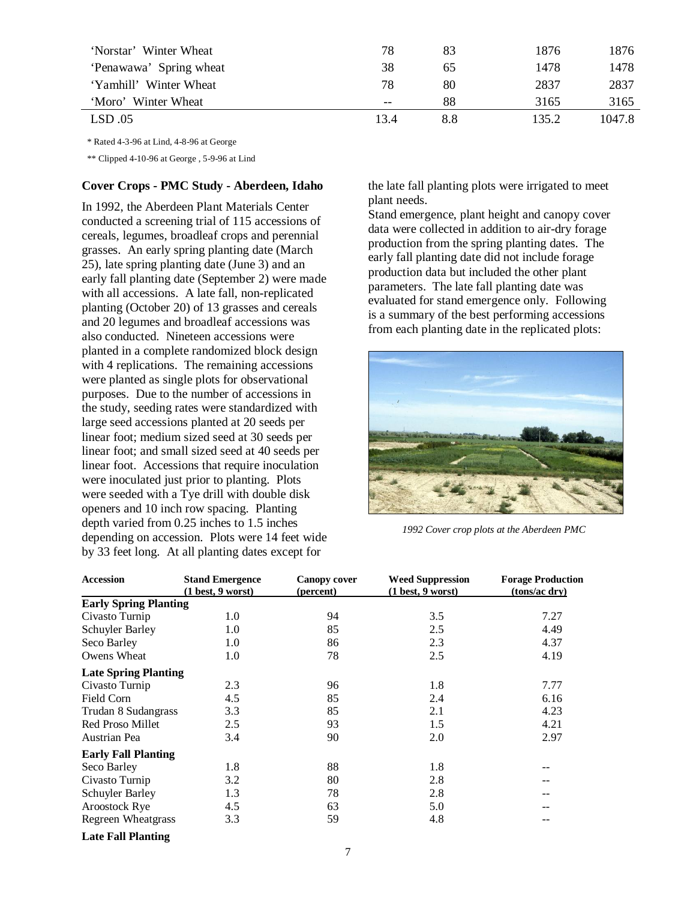| 'Norstar' Winter Wheat  | 78    | 83  | 1876  | 1876   |
|-------------------------|-------|-----|-------|--------|
| 'Penawawa' Spring wheat | 38    | 65  | 1478  | 1478   |
| 'Yamhill' Winter Wheat  | 78    | 80  | 2837  | 2837   |
| 'Moro' Winter Wheat     | $- -$ | 88  | 3165  | 3165   |
| LSD.05                  | 13.4  | 8.8 | 135.2 | 1047.8 |

\* Rated 4-3-96 at Lind, 4-8-96 at George

\*\* Clipped 4-10-96 at George , 5-9-96 at Lind

#### **Cover Crops - PMC Study - Aberdeen, Idaho**

In 1992, the Aberdeen Plant Materials Center conducted a screening trial of 115 accessions of cereals, legumes, broadleaf crops and perennial grasses. An early spring planting date (March 25), late spring planting date (June 3) and an early fall planting date (September 2) were made with all accessions. A late fall, non-replicated planting (October 20) of 13 grasses and cereals and 20 legumes and broadleaf accessions was also conducted. Nineteen accessions were planted in a complete randomized block design with 4 replications. The remaining accessions were planted as single plots for observational purposes. Due to the number of accessions in the study, seeding rates were standardized with large seed accessions planted at 20 seeds per linear foot; medium sized seed at 30 seeds per linear foot; and small sized seed at 40 seeds per linear foot. Accessions that require inoculation were inoculated just prior to planting. Plots were seeded with a Tye drill with double disk openers and 10 inch row spacing. Planting depth varied from 0.25 inches to 1.5 inches depending on accession. Plots were 14 feet wide by 33 feet long. At all planting dates except for

the late fall planting plots were irrigated to meet plant needs.

Stand emergence, plant height and canopy cover data were collected in addition to air-dry forage production from the spring planting dates. The early fall planting date did not include forage production data but included the other plant parameters. The late fall planting date was evaluated for stand emergence only. Following is a summary of the best performing accessions from each planting date in the replicated plots:



*1992 Cover crop plots at the Aberdeen PMC* 

| <b>Accession</b>             | <b>Stand Emergence</b><br>(1 best, 9 worst) | <b>Canopy cover</b><br>(percent) | <b>Weed Suppression</b><br>(1 best, 9 worst) | <b>Forage Production</b><br>(tons/ac dry) |
|------------------------------|---------------------------------------------|----------------------------------|----------------------------------------------|-------------------------------------------|
| <b>Early Spring Planting</b> |                                             |                                  |                                              |                                           |
| Civasto Turnip               | 1.0                                         | 94                               | 3.5                                          | 7.27                                      |
| Schuyler Barley              | 1.0                                         | 85                               | 2.5                                          | 4.49                                      |
| Seco Barley                  | 1.0                                         | 86                               | 2.3                                          | 4.37                                      |
| Owens Wheat                  | 1.0                                         | 78                               | 2.5                                          | 4.19                                      |
| <b>Late Spring Planting</b>  |                                             |                                  |                                              |                                           |
| Civasto Turnip               | 2.3                                         | 96                               | 1.8                                          | 7.77                                      |
| Field Corn                   | 4.5                                         | 85                               | 2.4                                          | 6.16                                      |
| Trudan 8 Sudangrass          | 3.3                                         | 85                               | 2.1                                          | 4.23                                      |
| Red Proso Millet             | 2.5                                         | 93                               | 1.5                                          | 4.21                                      |
| Austrian Pea                 | 3.4                                         | 90                               | 2.0                                          | 2.97                                      |
| <b>Early Fall Planting</b>   |                                             |                                  |                                              |                                           |
| Seco Barley                  | 1.8                                         | 88                               | 1.8                                          |                                           |
| Civasto Turnip               | 3.2                                         | 80                               | 2.8                                          |                                           |
| Schuyler Barley              | 1.3                                         | 78                               | 2.8                                          |                                           |
| Aroostock Rye                | 4.5                                         | 63                               | 5.0                                          |                                           |
| Regreen Wheatgrass           | 3.3                                         | 59                               | 4.8                                          |                                           |
| <b>Late Fall Planting</b>    |                                             |                                  |                                              |                                           |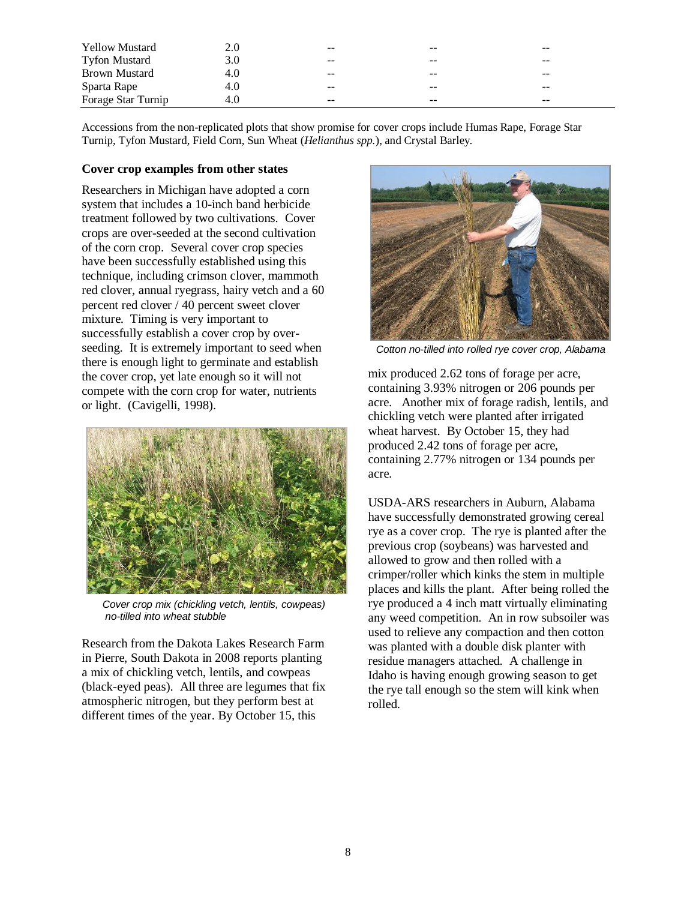| <b>Yellow Mustard</b> | 2.0 | --    | --    | $- -$ |
|-----------------------|-----|-------|-------|-------|
| <b>Tyfon Mustard</b>  |     | $- -$ | --    | $- -$ |
| Brown Mustard         | 4.0 | --    | $- -$ | $- -$ |
| Sparta Rape           | 4.O | $- -$ | --    | --    |
| Forage Star Turnip    | 4.0 | $- -$ | --    | --    |

Accessions from the non-replicated plots that show promise for cover crops include Humas Rape, Forage Star Turnip, Tyfon Mustard, Field Corn, Sun Wheat (*Helianthus spp.*), and Crystal Barley.

#### **Cover crop examples from other states**

Researchers in Michigan have adopted a corn system that includes a 10-inch band herbicide treatment followed by two cultivations. Cover crops are over-seeded at the second cultivation of the corn crop. Several cover crop species have been successfully established using this technique, including crimson clover, mammoth red clover, annual ryegrass, hairy vetch and a 60 percent red clover / 40 percent sweet clover mixture. Timing is very important to successfully establish a cover crop by overseeding. It is extremely important to seed when there is enough light to germinate and establish the cover crop, yet late enough so it will not compete with the corn crop for water, nutrients or light. (Cavigelli, 1998).



 *Cover crop mix (chickling vetch, lentils, cowpeas) no-tilled into wheat stubble* 

Research from the Dakota Lakes Research Farm in Pierre, South Dakota in 2008 reports planting a mix of chickling vetch, lentils, and cowpeas (black-eyed peas). All three are legumes that fix atmospheric nitrogen, but they perform best at different times of the year. By October 15, this



 *Cotton no-tilled into rolled rye cover crop, Alabama* 

mix produced 2.62 tons of forage per acre, containing 3.93% nitrogen or 206 pounds per acre. Another mix of forage radish, lentils, and chickling vetch were planted after irrigated wheat harvest. By October 15, they had produced 2.42 tons of forage per acre, containing 2.77% nitrogen or 134 pounds per acre.

USDA-ARS researchers in Auburn, Alabama have successfully demonstrated growing cereal rye as a cover crop. The rye is planted after the previous crop (soybeans) was harvested and allowed to grow and then rolled with a crimper/roller which kinks the stem in multiple places and kills the plant. After being rolled the rye produced a 4 inch matt virtually eliminating any weed competition. An in row subsoiler was used to relieve any compaction and then cotton was planted with a double disk planter with residue managers attached. A challenge in Idaho is having enough growing season to get the rye tall enough so the stem will kink when rolled.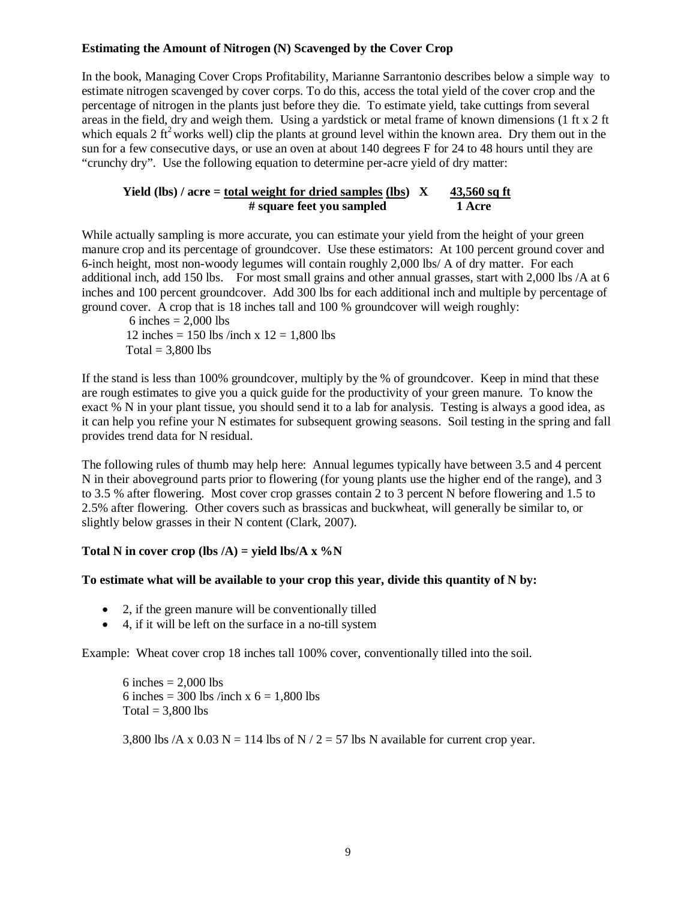#### **Estimating the Amount of Nitrogen (N) Scavenged by the Cover Crop**

In the book, Managing Cover Crops Profitability, Marianne Sarrantonio describes below a simple way to estimate nitrogen scavenged by cover corps. To do this, access the total yield of the cover crop and the percentage of nitrogen in the plants just before they die. To estimate yield, take cuttings from several areas in the field, dry and weigh them. Using a yardstick or metal frame of known dimensions (1 ft x 2 ft which equals 2 ft<sup>2</sup> works well) clip the plants at ground level within the known area. Dry them out in the sun for a few consecutive days, or use an oven at about 140 degrees F for 24 to 48 hours until they are "crunchy dry". Use the following equation to determine per-acre yield of dry matter:

#### **Yield (lbs) / acre = total weight for dried samples (lbs)**  $X = 43,560$  **sq ft # square feet you sampled 1 Acre**

While actually sampling is more accurate, you can estimate your yield from the height of your green manure crop and its percentage of groundcover. Use these estimators: At 100 percent ground cover and 6-inch height, most non-woody legumes will contain roughly 2,000 lbs/ A of dry matter. For each additional inch, add 150 lbs. For most small grains and other annual grasses, start with 2,000 lbs /A at 6 inches and 100 percent groundcover. Add 300 lbs for each additional inch and multiple by percentage of ground cover. A crop that is 18 inches tall and 100 % groundcover will weigh roughly:

6 inches  $= 2,000$  lbs 12 inches = 150 lbs /inch x  $12 = 1,800$  lbs  $Total = 3,800$  lbs

If the stand is less than 100% groundcover, multiply by the % of groundcover. Keep in mind that these are rough estimates to give you a quick guide for the productivity of your green manure. To know the exact % N in your plant tissue, you should send it to a lab for analysis. Testing is always a good idea, as it can help you refine your N estimates for subsequent growing seasons. Soil testing in the spring and fall provides trend data for N residual.

The following rules of thumb may help here: Annual legumes typically have between 3.5 and 4 percent N in their aboveground parts prior to flowering (for young plants use the higher end of the range), and 3 to 3.5 % after flowering. Most cover crop grasses contain 2 to 3 percent N before flowering and 1.5 to 2.5% after flowering. Other covers such as brassicas and buckwheat, will generally be similar to, or slightly below grasses in their N content (Clark, 2007).

#### Total N in cover crop (lbs  $/A$ ) = yield lbs/A x  $\%$ N

#### **To estimate what will be available to your crop this year, divide this quantity of N by:**

- 2, if the green manure will be conventionally tilled
- 4, if it will be left on the surface in a no-till system

Example: Wheat cover crop 18 inches tall 100% cover, conventionally tilled into the soil.

6 inches  $= 2,000$  lbs 6 inches = 300 lbs /inch x  $6 = 1,800$  lbs Total =  $3,800$  lbs

3,800 lbs /A x 0.03 N = 114 lbs of N / 2 = 57 lbs N available for current crop year.